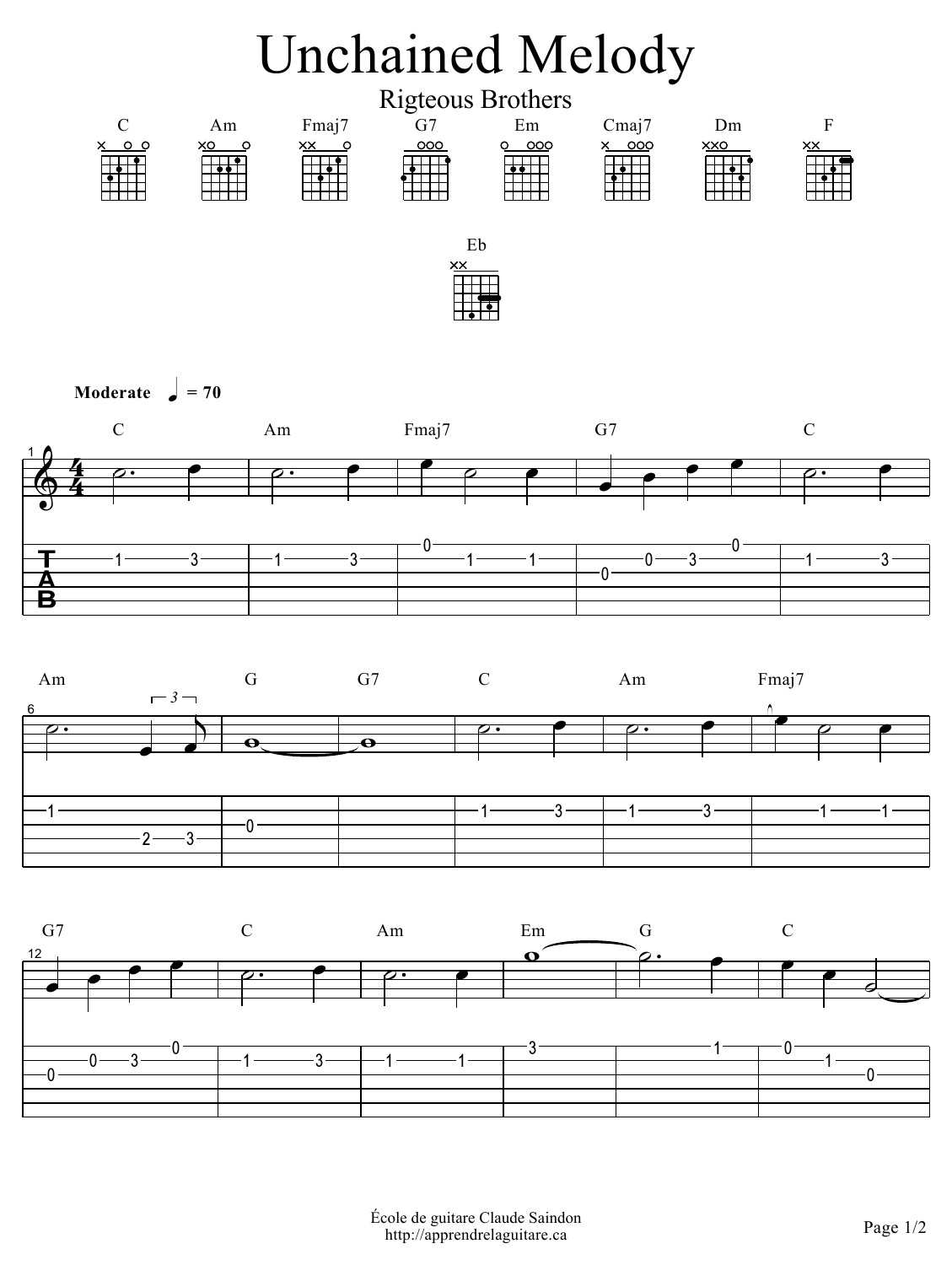

**Moderate**  $\boldsymbol{\downarrow} = 70$